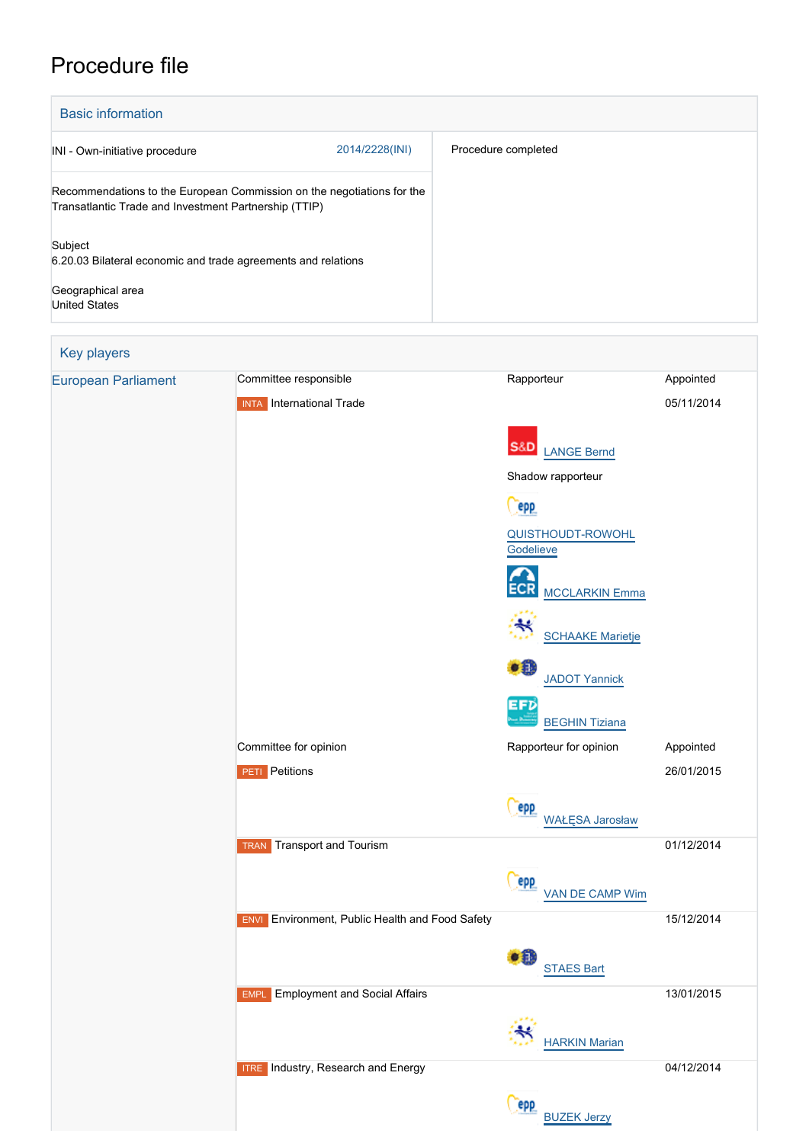## Procedure file

| <b>Basic information</b>                                                                                                        |                |                     |  |  |
|---------------------------------------------------------------------------------------------------------------------------------|----------------|---------------------|--|--|
| INI - Own-initiative procedure                                                                                                  | 2014/2228(INI) | Procedure completed |  |  |
| Recommendations to the European Commission on the negotiations for the<br>Transatlantic Trade and Investment Partnership (TTIP) |                |                     |  |  |
| Subject<br>6.20.03 Bilateral economic and trade agreements and relations                                                        |                |                     |  |  |
| Geographical area<br><b>United States</b>                                                                                       |                |                     |  |  |

| Key players                |                                                        |                                             |            |
|----------------------------|--------------------------------------------------------|---------------------------------------------|------------|
| <b>European Parliament</b> | Committee responsible                                  | Rapporteur                                  | Appointed  |
|                            | <b>INTA</b> International Trade                        |                                             | 05/11/2014 |
|                            |                                                        |                                             |            |
|                            |                                                        | <b>S&amp;D</b><br><b>LANGE Bernd</b>        |            |
|                            |                                                        | Shadow rapporteur                           |            |
|                            |                                                        | epp                                         |            |
|                            |                                                        | <b>QUISTHOUDT-ROWOHL</b><br>Godelieve       |            |
|                            |                                                        | <b>MCCLARKIN Emma</b>                       |            |
|                            |                                                        | <b>SCHAAKE Marietje</b>                     |            |
|                            |                                                        | $\bullet$<br><b>JADOT Yannick</b>           |            |
|                            |                                                        | <b>EFD</b><br><b>BEGHIN Tiziana</b>         |            |
|                            | Committee for opinion                                  | Rapporteur for opinion                      | Appointed  |
|                            | <b>PETI</b> Petitions                                  |                                             | 26/01/2015 |
|                            |                                                        | <b>Pepp</b><br><b>WAŁĘSA Jarosław</b>       |            |
|                            | Transport and Tourism<br><b>TRAN</b>                   |                                             | 01/12/2014 |
|                            |                                                        | epp<br>VAN DE CAMP Wim                      |            |
|                            | <b>ENVI</b> Environment, Public Health and Food Safety |                                             | 15/12/2014 |
|                            |                                                        | $\bullet$ <sup>0</sup><br><b>STAES Bart</b> |            |
|                            | <b>Employment and Social Affairs</b><br><b>EMPL</b>    |                                             | 13/01/2015 |
|                            |                                                        | <b>HARKIN Marian</b>                        |            |
|                            | <b>ITRE</b> Industry, Research and Energy              |                                             | 04/12/2014 |
|                            |                                                        | <b>epp</b><br><b>BUZEK Jerzy</b>            |            |